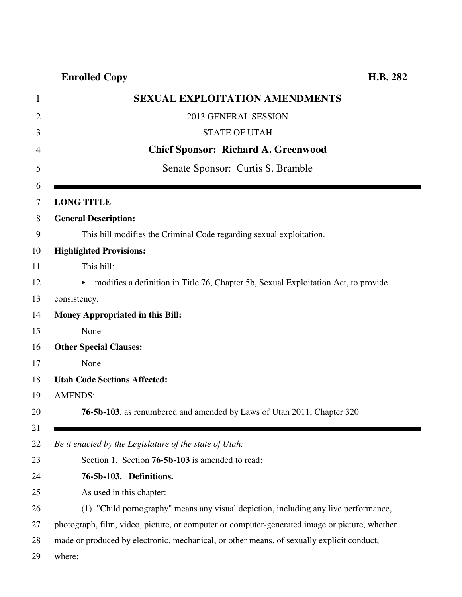**Enrolled Copy H.B. 282**

| <b>SEXUAL EXPLOITATION AMENDMENTS</b>                                                         |
|-----------------------------------------------------------------------------------------------|
| 2013 GENERAL SESSION                                                                          |
| <b>STATE OF UTAH</b>                                                                          |
| <b>Chief Sponsor: Richard A. Greenwood</b>                                                    |
| Senate Sponsor: Curtis S. Bramble                                                             |
| <b>LONG TITLE</b>                                                                             |
| <b>General Description:</b>                                                                   |
| This bill modifies the Criminal Code regarding sexual exploitation.                           |
| <b>Highlighted Provisions:</b>                                                                |
| This bill:                                                                                    |
| • modifies a definition in Title 76, Chapter 5b, Sexual Exploitation Act, to provide          |
| consistency.                                                                                  |
| <b>Money Appropriated in this Bill:</b>                                                       |
| None                                                                                          |
| <b>Other Special Clauses:</b>                                                                 |
| None                                                                                          |
| <b>Utah Code Sections Affected:</b>                                                           |
| <b>AMENDS:</b>                                                                                |
| <b>76-5b-103</b> , as renumbered and amended by Laws of Utah 2011, Chapter 320                |
| Be it enacted by the Legislature of the state of Utah:                                        |
| Section 1. Section 76-5b-103 is amended to read:                                              |
| 76-5b-103. Definitions.                                                                       |
| As used in this chapter:                                                                      |
| (1) "Child pornography" means any visual depiction, including any live performance,           |
| photograph, film, video, picture, or computer or computer-generated image or picture, whether |
| made or produced by electronic, mechanical, or other means, of sexually explicit conduct,     |
| where:                                                                                        |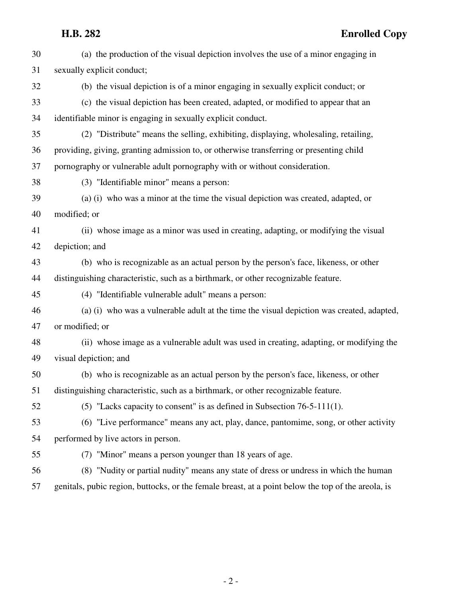| 30 | (a) the production of the visual depiction involves the use of a minor engaging in                 |
|----|----------------------------------------------------------------------------------------------------|
| 31 | sexually explicit conduct;                                                                         |
| 32 | (b) the visual depiction is of a minor engaging in sexually explicit conduct; or                   |
| 33 | (c) the visual depiction has been created, adapted, or modified to appear that an                  |
| 34 | identifiable minor is engaging in sexually explicit conduct.                                       |
| 35 | (2) "Distribute" means the selling, exhibiting, displaying, wholesaling, retailing,                |
| 36 | providing, giving, granting admission to, or otherwise transferring or presenting child            |
| 37 | pornography or vulnerable adult pornography with or without consideration.                         |
| 38 | (3) "Identifiable minor" means a person:                                                           |
| 39 | (a) (i) who was a minor at the time the visual depiction was created, adapted, or                  |
| 40 | modified; or                                                                                       |
| 41 | (ii) whose image as a minor was used in creating, adapting, or modifying the visual                |
| 42 | depiction; and                                                                                     |
| 43 | (b) who is recognizable as an actual person by the person's face, likeness, or other               |
| 44 | distinguishing characteristic, such as a birthmark, or other recognizable feature.                 |
| 45 | (4) "Identifiable vulnerable adult" means a person:                                                |
| 46 | (a) (i) who was a vulnerable adult at the time the visual depiction was created, adapted,          |
| 47 | or modified; or                                                                                    |
| 48 | (ii) whose image as a vulnerable adult was used in creating, adapting, or modifying the            |
| 49 | visual depiction; and                                                                              |
| 50 | (b) who is recognizable as an actual person by the person's face, likeness, or other               |
| 51 | distinguishing characteristic, such as a birthmark, or other recognizable feature.                 |
| 52 | $(5)$ "Lacks capacity to consent" is as defined in Subsection 76-5-111(1).                         |
| 53 | (6) "Live performance" means any act, play, dance, pantomime, song, or other activity              |
| 54 | performed by live actors in person.                                                                |
| 55 | (7) "Minor" means a person younger than 18 years of age.                                           |
| 56 | (8) "Nudity or partial nudity" means any state of dress or undress in which the human              |
| 57 | genitals, pubic region, buttocks, or the female breast, at a point below the top of the areola, is |

- 2 -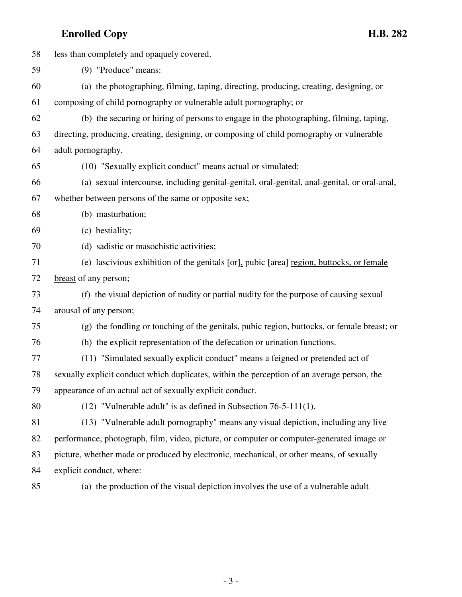## **Enrolled Copy H.B. 282**

58 less than completely and opaquely covered. 59 (9) "Produce" means: 60 (a) the photographing, filming, taping, directing, producing, creating, designing, or 61 composing of child pornography or vulnerable adult pornography; or 62 (b) the securing or hiring of persons to engage in the photographing, filming, taping, 63 directing, producing, creating, designing, or composing of child pornography or vulnerable 64 adult pornography. 65 (10) "Sexually explicit conduct" means actual or simulated: 66 (a) sexual intercourse, including genital-genital, oral-genital, anal-genital, or oral-anal, 67 whether between persons of the same or opposite sex; 68 (b) masturbation; 69 (c) bestiality; 70 (d) sadistic or masochistic activities; 71 (e) lascivious exhibition of the genitals  $\sigma$ , pubic  $\sigma$  area region, buttocks, or female 72 breast of any person; 73 (f) the visual depiction of nudity or partial nudity for the purpose of causing sexual 74 arousal of any person; 75 (g) the fondling or touching of the genitals, pubic region, buttocks, or female breast; or 76 (h) the explicit representation of the defecation or urination functions. 77 (11) "Simulated sexually explicit conduct" means a feigned or pretended act of 78 sexually explicit conduct which duplicates, within the perception of an average person, the 79 appearance of an actual act of sexually explicit conduct. 80 (12) "Vulnerable adult" is as defined in Subsection 76-5-111(1). 81 (13) "Vulnerable adult pornography" means any visual depiction, including any live 82 performance, photograph, film, video, picture, or computer or computer-generated image or

- 83 picture, whether made or produced by electronic, mechanical, or other means, of sexually
- 84 explicit conduct, where:
- 

85 (a) the production of the visual depiction involves the use of a vulnerable adult